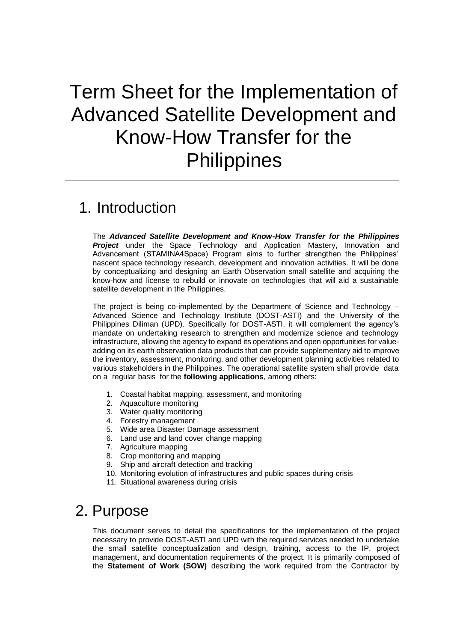# Term Sheet for the Implementation of Advanced Satellite Development and Know-How Transfer for the **Philippines**

# 1. Introduction

The *Advanced Satellite Development and Know-How Transfer for the Philippines Project* under the Space Technology and Application Mastery, Innovation and Advancement (STAMINA4Space) Program aims to further strengthen the Philippines' nascent space technology research, development and innovation activities. It will be done by conceptualizing and designing an Earth Observation small satellite and acquiring the know-how and license to rebuild or innovate on technologies that will aid a sustainable satellite development in the Philippines.

The project is being co-implemented by the Department of Science and Technology – Advanced Science and Technology Institute (DOST-ASTI) and the University of the Philippines Diliman (UPD). Specifically for DOST-ASTI, it will complement the agency's mandate on undertaking research to strengthen and modernize science and technology infrastructure, allowing the agency to expand its operations and open opportunities for valueadding on its earth observation data products that can provide supplementary aid to improve the inventory, assessment, monitoring, and other development planning activities related to various stakeholders in the Philippines. The operational satellite system shall provide data on a regular basis for the **following applications**, among others:

- 1. Coastal habitat mapping, assessment, and monitoring
- 2. Aquaculture monitoring
- 3. Water quality monitoring
- 4. Forestry management
- 5. Wide area Disaster Damage assessment
- 6. Land use and land cover change mapping
- 7. Agriculture mapping
- 8. Crop monitoring and mapping
- 9. Ship and aircraft detection and tracking
- 10. Monitoring evolution of infrastructures and public spaces during crisis
- 11. Situational awareness during crisis

# 2. Purpose

This document serves to detail the specifications for the implementation of the project necessary to provide DOST-ASTI and UPD with the required services needed to undertake the small satellite conceptualization and design, training, access to the IP, project management, and documentation requirements of the project. It is primarily composed of the **Statement of Work (SOW)** describing the work required from the Contractor by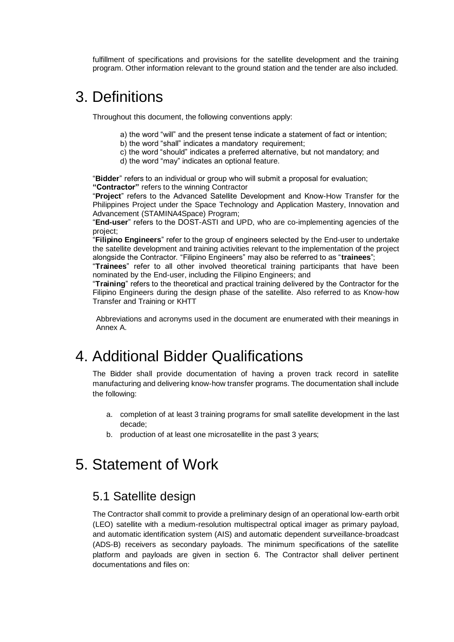fulfillment of specifications and provisions for the satellite development and the training program. Other information relevant to the ground station and the tender are also included.

# 3. Definitions

Throughout this document, the following conventions apply:

- a) the word "will" and the present tense indicate a statement of fact or intention;
- b) the word "shall" indicates a mandatory requirement;
- c) the word "should" indicates a preferred alternative, but not mandatory; and
- d) the word "may" indicates an optional feature.

"**Bidder**" refers to an individual or group who will submit a proposal for evaluation; **"Contractor"** refers to the winning Contractor

"**Project**" refers to the Advanced Satellite Development and Know-How Transfer for the Philippines Project under the Space Technology and Application Mastery, Innovation and Advancement (STAMINA4Space) Program;

"**End-user**" refers to the DOST-ASTI and UPD, who are co-implementing agencies of the project;

"**Filipino Engineers**" refer to the group of engineers selected by the End-user to undertake the satellite development and training activities relevant to the implementation of the project alongside the Contractor. "Filipino Engineers" may also be referred to as "**trainees**";

"**Trainees**" refer to all other involved theoretical training participants that have been nominated by the End-user, including the Filipino Engineers; and

"**Training**" refers to the theoretical and practical training delivered by the Contractor for the Filipino Engineers during the design phase of the satellite. Also referred to as Know-how Transfer and Training or KHTT

Abbreviations and acronyms used in the document are enumerated with their meanings in Annex A.

# 4. Additional Bidder Qualifications

The Bidder shall provide documentation of having a proven track record in satellite manufacturing and delivering know-how transfer programs. The documentation shall include the following:

- a. completion of at least 3 training programs for small satellite development in the last decade;
- b. production of at least one microsatellite in the past 3 years;

# 5. Statement of Work

## 5.1 Satellite design

The Contractor shall commit to provide a preliminary design of an operational low-earth orbit (LEO) satellite with a medium-resolution multispectral optical imager as primary payload, and automatic identification system (AIS) and automatic dependent surveillance-broadcast (ADS-B) receivers as secondary payloads. The minimum specifications of the satellite platform and payloads are given in section 6. The Contractor shall deliver pertinent documentations and files on: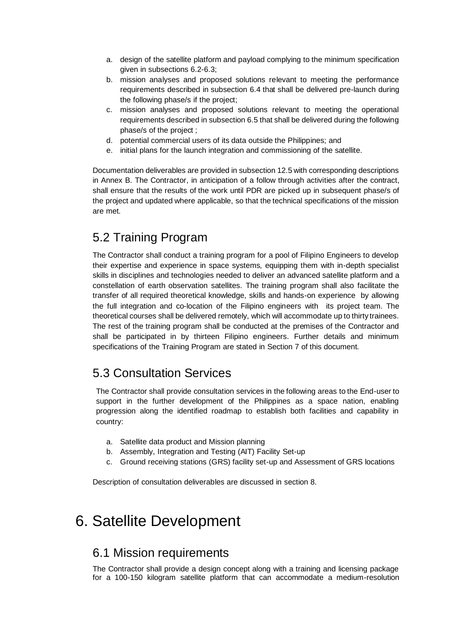- a. design of the satellite platform and payload complying to the minimum specification given in subsections 6.2-6.3;
- b. mission analyses and proposed solutions relevant to meeting the performance requirements described in subsection 6.4 that shall be delivered pre-launch during the following phase/s if the project;
- c. mission analyses and proposed solutions relevant to meeting the operational requirements described in subsection 6.5 that shall be delivered during the following phase/s of the project ;
- d. potential commercial users of its data outside the Philippines; and
- e. initial plans for the launch integration and commissioning of the satellite.

Documentation deliverables are provided in subsection 12.5 with corresponding descriptions in Annex B. The Contractor, in anticipation of a follow through activities after the contract, shall ensure that the results of the work until PDR are picked up in subsequent phase/s of the project and updated where applicable, so that the technical specifications of the mission are met.

# 5.2 Training Program

The Contractor shall conduct a training program for a pool of Filipino Engineers to develop their expertise and experience in space systems, equipping them with in-depth specialist skills in disciplines and technologies needed to deliver an advanced satellite platform and a constellation of earth observation satellites. The training program shall also facilitate the transfer of all required theoretical knowledge, skills and hands-on experience by allowing the full integration and co-location of the Filipino engineers with its project team. The theoretical courses shall be delivered remotely, which will accommodate up to thirty trainees. The rest of the training program shall be conducted at the premises of the Contractor and shall be participated in by thirteen Filipino engineers. Further details and minimum specifications of the Training Program are stated in Section 7 of this document.

## 5.3 Consultation Services

The Contractor shall provide consultation services in the following areas to the End-user to support in the further development of the Philippines as a space nation, enabling progression along the identified roadmap to establish both facilities and capability in country:

- a. Satellite data product and Mission planning
- b. Assembly, Integration and Testing (AIT) Facility Set-up
- c. Ground receiving stations (GRS) facility set-up and Assessment of GRS locations

Description of consultation deliverables are discussed in section 8.

# 6. Satellite Development

## 6.1 Mission requirements

The Contractor shall provide a design concept along with a training and licensing package for a 100-150 kilogram satellite platform that can accommodate a medium-resolution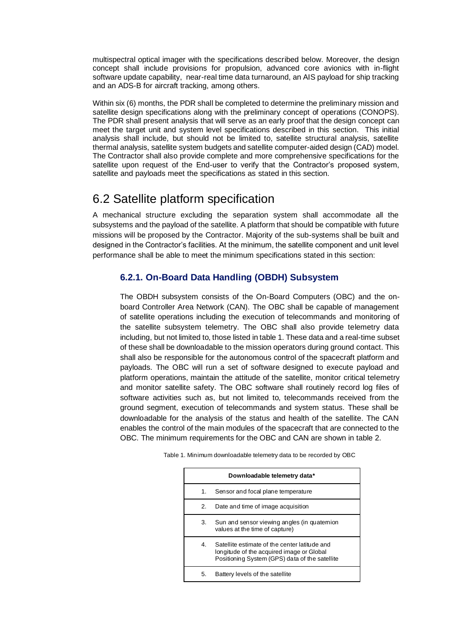multispectral optical imager with the specifications described below. Moreover, the design concept shall include provisions for propulsion, advanced core avionics with in-flight software update capability, near-real time data turnaround, an AIS payload for ship tracking and an ADS-B for aircraft tracking, among others.

Within six (6) months, the PDR shall be completed to determine the preliminary mission and satellite design specifications along with the preliminary concept of operations (CONOPS). The PDR shall present analysis that will serve as an early proof that the design concept can meet the target unit and system level specifications described in this section. This initial analysis shall include, but should not be limited to, satellite structural analysis, satellite thermal analysis, satellite system budgets and satellite computer-aided design (CAD) model. The Contractor shall also provide complete and more comprehensive specifications for the satellite upon request of the End-user to verify that the Contractor's proposed system, satellite and payloads meet the specifications as stated in this section.

## 6.2 Satellite platform specification

A mechanical structure excluding the separation system shall accommodate all the subsystems and the payload of the satellite. A platform that should be compatible with future missions will be proposed by the Contractor. Majority of the sub-systems shall be built and designed in the Contractor's facilities. At the minimum, the satellite component and unit level performance shall be able to meet the minimum specifications stated in this section:

## **6.2.1. On-Board Data Handling (OBDH) Subsystem**

The OBDH subsystem consists of the On-Board Computers (OBC) and the onboard Controller Area Network (CAN). The OBC shall be capable of management of satellite operations including the execution of telecommands and monitoring of the satellite subsystem telemetry. The OBC shall also provide telemetry data including, but not limited to, those listed in table 1. These data and a real-time subset of these shall be downloadable to the mission operators during ground contact. This shall also be responsible for the autonomous control of the spacecraft platform and payloads. The OBC will run a set of software designed to execute payload and platform operations, maintain the attitude of the satellite, monitor critical telemetry and monitor satellite safety. The OBC software shall routinely record log files of software activities such as, but not limited to, telecommands received from the ground segment, execution of telecommands and system status. These shall be downloadable for the analysis of the status and health of the satellite. The CAN enables the control of the main modules of the spacecraft that are connected to the OBC. The minimum requirements for the OBC and CAN are shown in table 2.

|    | Downloadable telemetry data*                                                                                                                 |
|----|----------------------------------------------------------------------------------------------------------------------------------------------|
| 1. | Sensor and focal plane temperature                                                                                                           |
| 2. | Date and time of image acquisition                                                                                                           |
| 3. | Sun and sensor viewing angles (in quatemion<br>values at the time of capture)                                                                |
| 4. | Satellite estimate of the center latitude and<br>longitude of the acquired image or Global<br>Positioning System (GPS) data of the satellite |
| 5. | Battery levels of the satellite                                                                                                              |

| Table 1. Minimum downloadable telemetry data to be recorded by OBC |  |
|--------------------------------------------------------------------|--|
|                                                                    |  |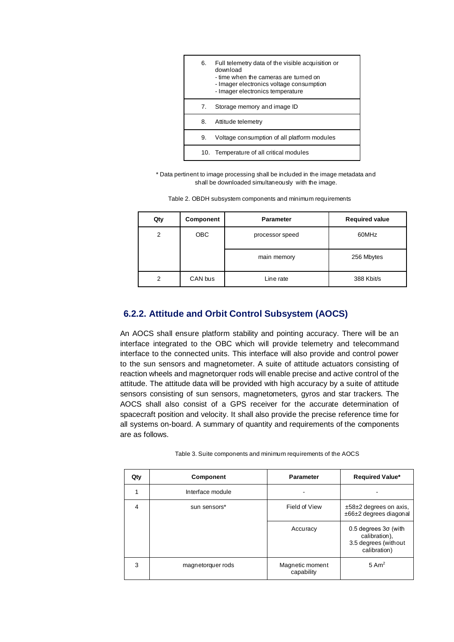| 6. | Full telemetry data of the visible acquisition or<br>download<br>- time when the cameras are turned on<br>- Imager electronics voltage consumption<br>- Imager electronics temperature |
|----|----------------------------------------------------------------------------------------------------------------------------------------------------------------------------------------|
| 7. | Storage memory and image ID                                                                                                                                                            |
| 8. | Attitude telemetry                                                                                                                                                                     |
| 9. | Voltage consumption of all platform modules                                                                                                                                            |
|    | 10. Temperature of all critical modules                                                                                                                                                |

\* Data pertinent to image processing shall be included in the image metadata and shall be downloaded simultaneously with the image.

|  |  |  |  |  |  | Table 2. OBDH subsystem components and minimum requirements |
|--|--|--|--|--|--|-------------------------------------------------------------|
|--|--|--|--|--|--|-------------------------------------------------------------|

| Qty | Component | <b>Parameter</b> | <b>Required value</b> |
|-----|-----------|------------------|-----------------------|
| 2   | OBC       | processor speed  | 60MHz                 |
|     |           | main memory      | 256 Mbytes            |
| 2   | CAN bus   | Line rate        | 388 Kbit/s            |

### **6.2.2. Attitude and Orbit Control Subsystem (AOCS)**

An AOCS shall ensure platform stability and pointing accuracy. There will be an interface integrated to the OBC which will provide telemetry and telecommand interface to the connected units. This interface will also provide and control power to the sun sensors and magnetometer. A suite of attitude actuators consisting of reaction wheels and magnetorquer rods will enable precise and active control of the attitude. The attitude data will be provided with high accuracy by a suite of attitude sensors consisting of sun sensors, magnetometers, gyros and star trackers. The AOCS shall also consist of a GPS receiver for the accurate determination of spacecraft position and velocity. It shall also provide the precise reference time for all systems on-board. A summary of quantity and requirements of the components are as follows.

| Qty | <b>Component</b>  | <b>Parameter</b>              | <b>Required Value*</b>                                                                 |
|-----|-------------------|-------------------------------|----------------------------------------------------------------------------------------|
|     | Interface module  |                               |                                                                                        |
| 4   | sun sensors*      | Field of View                 | $±58±2$ degrees on axis,<br>±66±2 degrees diagonal                                     |
|     |                   | Accuracy                      | $0.5$ degrees $3\sigma$ (with<br>calibration),<br>3.5 degrees (without<br>calibration) |
| 3   | magnetorquer rods | Magnetic moment<br>capability | $5 \text{ Am}^2$                                                                       |

| Table 3. Suite components and minimum requirements of the AOCS |  |
|----------------------------------------------------------------|--|
|                                                                |  |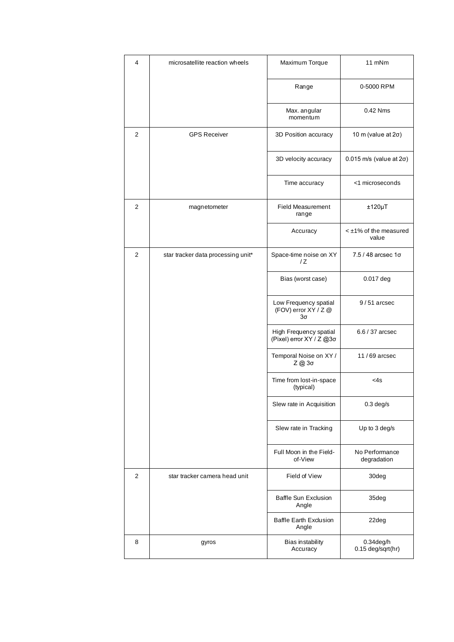| 4 | microsatellite reaction wheels     | Maximum Torque                                      | 11 mNm                              |
|---|------------------------------------|-----------------------------------------------------|-------------------------------------|
|   |                                    | Range                                               | 0-5000 RPM                          |
|   |                                    | Max. angular<br>momentum                            | 0.42 Nms                            |
| 2 | <b>GPS Receiver</b>                | 3D Position accuracy                                | 10 m (value at $2\sigma$ )          |
|   |                                    | 3D velocity accuracy                                | $0.015$ m/s (value at $2\sigma$ )   |
|   |                                    | Time accuracy                                       | <1 microseconds                     |
| 2 | magnetometer                       | <b>Field Measurement</b><br>range                   | $±120 \mu T$                        |
|   |                                    | Accuracy                                            | $\leq$ ±1% of the measured<br>value |
| 2 | star tracker data processing unit* | Space-time noise on XY<br>/ Z                       | 7.5 / 48 arcsec 1σ                  |
|   |                                    | Bias (worst case)                                   | 0.017 deg                           |
|   |                                    | Low Frequency spatial<br>(FOV) error XY / Z @<br>3σ | $9/51$ arcsec                       |
|   |                                    | High Frequency spatial<br>(Pixel) error XY / Ζ @3σ  | 6.6 / 37 arcsec                     |
|   |                                    | Temporal Noise on XY /<br>$Z$ @ 3σ                  | $11/69$ arcsec                      |
|   |                                    | Time from lost-in-space<br>(typical)                | $<$ 4s                              |
|   |                                    | Slew rate in Acquisition                            | $0.3$ deg/s                         |
|   |                                    | Slew rate in Tracking                               | Up to 3 deg/s                       |
|   |                                    | Full Moon in the Field-<br>of-View                  | No Performance<br>degradation       |
| 2 | star tracker camera head unit      | Field of View                                       | 30deg                               |
|   |                                    | <b>Baffle Sun Exclusion</b><br>Angle                | 35deg                               |
|   |                                    | <b>Baffle Earth Exclusion</b><br>Angle              | 22deg                               |
| 8 | gyros                              | Bias instability<br>Accuracy                        | $0.34$ deg/h<br>0.15 deg/sqrt(hr)   |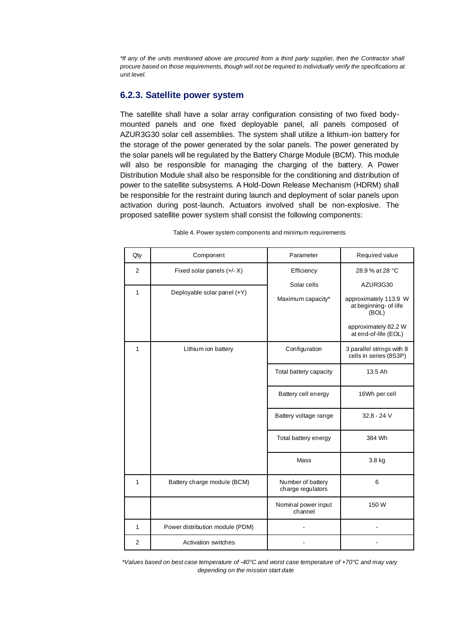*\*If any of the units mentioned above are procured from a third party supplier, then the Contractor shall procure based on those requirements, though will not be required to individually verify the specifications at unit level.*

#### **6.2.3. Satellite power system**

The satellite shall have a solar array configuration consisting of two fixed bodymounted panels and one fixed deployable panel, all panels composed of AZUR3G30 solar cell assemblies. The system shall utilize a lithium-ion battery for the storage of the power generated by the solar panels. The power generated by the solar panels will be regulated by the Battery Charge Module (BCM). This module will also be responsible for managing the charging of the battery. A Power Distribution Module shall also be responsible for the conditioning and distribution of power to the satellite subsystems. A Hold-Down Release Mechanism (HDRM) shall be responsible for the restraint during launch and deployment of solar panels upon activation during post-launch. Actuators involved shall be non-explosive. The proposed satellite power system shall consist the following components:

| Qty            | Component                                                   | Parameter                                      | Required value                                                                         |
|----------------|-------------------------------------------------------------|------------------------------------------------|----------------------------------------------------------------------------------------|
| 2<br>1         | Fixed solar panels $(+/- X)$<br>Deployable solar panel (+Y) | Efficiency<br>Solar cells<br>Maximum capacity* | 28.9 % at 28 °C<br>AZUR3G30<br>approximately 113.9 W<br>at beginning- of-life<br>(BOL) |
|                |                                                             |                                                | approximately 82.2 W<br>at end-of-life (EOL)                                           |
| $\mathbf{1}$   | Lithium ion battery                                         | Configuration                                  | 3 parallel strings with 8<br>cells in series (8S3P)                                    |
|                |                                                             | Total battery capacity                         | 13.5 Ah                                                                                |
|                |                                                             | Battery cell energy                            | 16Wh per cell                                                                          |
|                |                                                             | Battery voltage range                          | 32.8 - 24 V                                                                            |
|                |                                                             | Total battery energy                           | 384 Wh                                                                                 |
|                |                                                             | Mass                                           | 3.8 kg                                                                                 |
| $\mathbf{1}$   | Battery charge module (BCM)                                 | Number of battery<br>charge regulators         | 6                                                                                      |
|                |                                                             | Nominal power input<br>channel                 | 150 W                                                                                  |
| $\mathbf{1}$   | Power distribution module (PDM)                             |                                                |                                                                                        |
| $\overline{2}$ | Activation switches                                         |                                                |                                                                                        |

Table 4. Power system components and minimum requirements

*\*Values based on best case temperature of -40°C and worst case temperature of +70°C and may vary depending on the mission start date*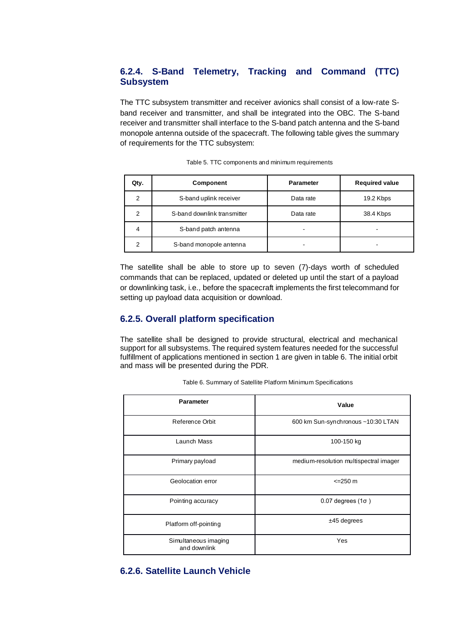### **6.2.4. S-Band Telemetry, Tracking and Command (TTC) Subsystem**

The TTC subsystem transmitter and receiver avionics shall consist of a low-rate Sband receiver and transmitter, and shall be integrated into the OBC. The S-band receiver and transmitter shall interface to the S-band patch antenna and the S-band monopole antenna outside of the spacecraft. The following table gives the summary of requirements for the TTC subsystem:

| Qty. | Component                   | <b>Parameter</b> | <b>Required value</b> |
|------|-----------------------------|------------------|-----------------------|
| 2    | S-band uplink receiver      | Data rate        | 19.2 Kbps             |
| 2    | S-band downlink transmitter | Data rate        | 38.4 Kbps             |
| 4    | S-band patch antenna        |                  |                       |
| 2    | S-band monopole antenna     | ۰                |                       |

|  |  |  |  |  | Table 5. TTC components and minimum requirements |
|--|--|--|--|--|--------------------------------------------------|
|--|--|--|--|--|--------------------------------------------------|

The satellite shall be able to store up to seven (7)-days worth of scheduled commands that can be replaced, updated or deleted up until the start of a payload or downlinking task, i.e., before the spacecraft implements the first telecommand for setting up payload data acquisition or download.

#### **6.2.5. Overall platform specification**

The satellite shall be designed to provide structural, electrical and mechanical support for all subsystems. The required system features needed for the successful fulfillment of applications mentioned in section 1 are given in table 6. The initial orbit and mass will be presented during the PDR.

| <b>Parameter</b>                     | Value                                  |
|--------------------------------------|----------------------------------------|
| Reference Orbit                      | 600 km Sun-synchronous ~10:30 LTAN     |
| Launch Mass                          | 100-150 kg                             |
| Primary payload                      | medium-resolution multispectral imager |
| Geolocation error                    | $\leq$ 250 m                           |
| Pointing accuracy                    | $0.07$ degrees (1 $\sigma$ )           |
| Platform off-pointing                | $±45$ degrees                          |
| Simultaneous imaging<br>and downlink | Yes                                    |

Table 6. Summary of Satellite Platform Minimum Specifications

### **6.2.6. Satellite Launch Vehicle**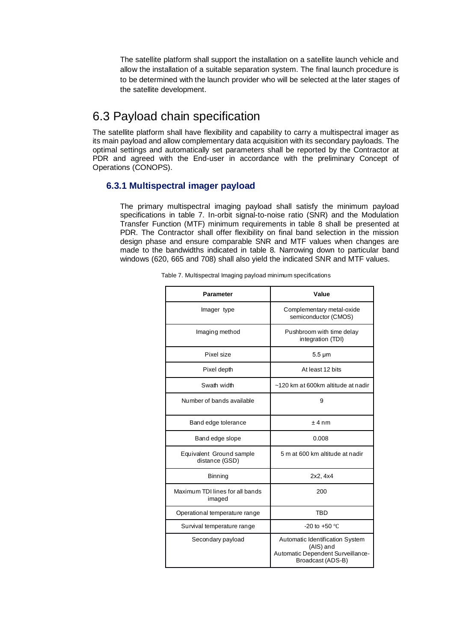The satellite platform shall support the installation on a satellite launch vehicle and allow the installation of a suitable separation system. The final launch procedure is to be determined with the launch provider who will be selected at the later stages of the satellite development.

## 6.3 Payload chain specification

The satellite platform shall have flexibility and capability to carry a multispectral imager as its main payload and allow complementary data acquisition with its secondary payloads. The optimal settings and automatically set parameters shall be reported by the Contractor at PDR and agreed with the End-user in accordance with the preliminary Concept of Operations (CONOPS).

### **6.3.1 Multispectral imager payload**

The primary multispectral imaging payload shall satisfy the minimum payload specifications in table 7. In-orbit signal-to-noise ratio (SNR) and the Modulation Transfer Function (MTF) minimum requirements in table 8 shall be presented at PDR. The Contractor shall offer flexibility on final band selection in the mission design phase and ensure comparable SNR and MTF values when changes are made to the bandwidths indicated in table 8. Narrowing down to particular band windows (620, 665 and 708) shall also yield the indicated SNR and MTF values.

| <b>Parameter</b>                           | Value                                                                                                  |
|--------------------------------------------|--------------------------------------------------------------------------------------------------------|
| Imager type                                | Complementary metal-oxide<br>semiconductor (CMOS)                                                      |
| Imaging method                             | Pushbroom with time delay<br>integration (TDI)                                                         |
| Pixel size                                 | $5.5 \mu m$                                                                                            |
| Pixel depth                                | At least 12 bits                                                                                       |
| Swath width                                | ~120 km at 600km altitude at nadir                                                                     |
| Number of bands available                  | 9                                                                                                      |
| Band edge tolerance                        | ±4nm                                                                                                   |
| Band edge slope                            | 0.008                                                                                                  |
| Equivalent Ground sample<br>distance (GSD) | 5 m at 600 km altitude at nadir                                                                        |
| <b>Binning</b>                             | 2x2, 4x4                                                                                               |
| Maximum TDI lines for all bands<br>imaged  | 200                                                                                                    |
| Operational temperature range              | <b>TBD</b>                                                                                             |
| Survival temperature range                 | -20 to +50 $^{\circ}$ C                                                                                |
| Secondary payload                          | Automatic Identification System<br>(AIS) and<br>Automatic Dependent Surveillance-<br>Broadcast (ADS-B) |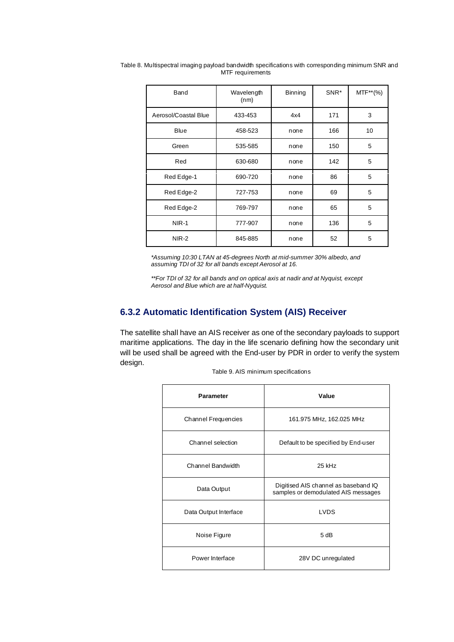| Band                 | Wavelength<br>(nm) | <b>Binning</b> | SNR* | MTF**(%) |
|----------------------|--------------------|----------------|------|----------|
| Aerosol/Coastal Blue | 433-453            | 4x4            | 171  | 3        |
| <b>Blue</b>          | 458-523            | none           | 166  | 10       |
| Green                | 535-585            | none           | 150  | 5        |
| Red                  | 630-680            | none           | 142  | 5        |
| Red Edge-1           | 690-720            | none           | 86   | 5        |
| Red Edge-2           | 727-753            | none           | 69   | 5        |
| Red Edge-2           | 769-797            | none           | 65   | 5        |
| <b>NIR-1</b>         | 777-907            | none           | 136  | 5        |
| NIR-2<br>845-885     |                    | none           | 52   | 5        |

Table 8. Multispectral imaging payload bandwidth specifications with corresponding minimum SNR and MTF requirements

*\*Assuming 10:30 LTAN at 45-degrees North at mid-summer 30% albedo, and assuming TDI of 32 for all bands except Aerosol at 16.*

*\*\*For TDI of 32 for all bands and on optical axis at nadir and at Nyquist, except Aerosol and Blue which are at half-Nyquist.*

### **6.3.2 Automatic Identification System (AIS) Receiver**

The satellite shall have an AIS receiver as one of the secondary payloads to support maritime applications. The day in the life scenario defining how the secondary unit will be used shall be agreed with the End-user by PDR in order to verify the system design.

Table 9. AIS minimum specifications

| <b>Parameter</b>         | Value                                                                       |
|--------------------------|-----------------------------------------------------------------------------|
| Channel Frequencies      | 161.975 MHz, 162.025 MHz                                                    |
| Channel selection        | Default to be specified by End-user                                         |
| <b>Channel Bandwidth</b> | 25 kHz                                                                      |
| Data Output              | Digitised AIS channel as baseband IQ<br>samples or demodulated AIS messages |
| Data Output Interface    | LVDS                                                                        |
| Noise Figure             | 5 dB                                                                        |
| Power Interface          | 28V DC unregulated                                                          |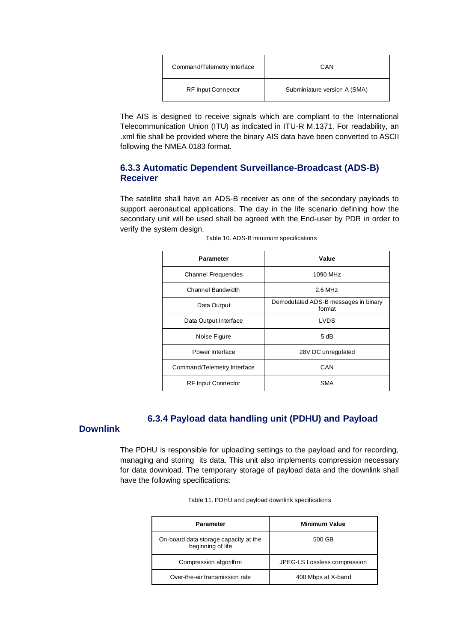| Command/Telemetry Interface | CAN                          |
|-----------------------------|------------------------------|
| <b>RF Input Connector</b>   | Subminiature version A (SMA) |

The AIS is designed to receive signals which are compliant to the International Telecommunication Union (ITU) as indicated in ITU-R M.1371. For readability, an .xml file shall be provided where the binary AIS data have been converted to ASCII following the NMEA 0183 format.

### **6.3.3 Automatic Dependent Surveillance-Broadcast (ADS-B) Receiver**

The satellite shall have an ADS-B receiver as one of the secondary payloads to support aeronautical applications. The day in the life scenario defining how the secondary unit will be used shall be agreed with the End-user by PDR in order to verify the system design.

| <b>Parameter</b>            | Value                                          |
|-----------------------------|------------------------------------------------|
| Channel Frequencies         | 1090 MHz                                       |
| Channel Bandwidth           | $2.6$ MHz                                      |
| Data Output                 | Demodulated ADS-B messages in binary<br>format |
| Data Output Interface       | LVDS                                           |
| Noise Figure                | 5 dB                                           |
| Power Interface             | 28V DC unregulated                             |
| Command/Telemetry Interface | CAN                                            |
| <b>RF Input Connector</b>   | <b>SMA</b>                                     |

|  | Table 10. ADS-B minimum specifications |
|--|----------------------------------------|
|  |                                        |

## **6.3.4 Payload data handling unit (PDHU) and Payload**

#### **Downlink**

The PDHU is responsible for uploading settings to the payload and for recording, managing and storing its data. This unit also implements compression necessary for data download. The temporary storage of payload data and the downlink shall have the following specifications:

| <b>Parameter</b>                                           | Minimum Value                |
|------------------------------------------------------------|------------------------------|
| On-board data storage capacity at the<br>beginning of life | 500 GB                       |
| Compression algorithm                                      | JPEG-LS Lossless compression |
| Over-the-air transmission rate                             | 400 Mbps at X-band           |

Table 11. PDHU and payload downlink specifications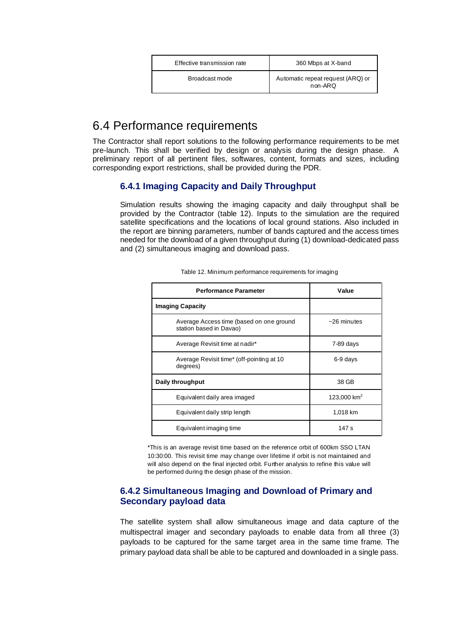| Effective transmission rate | 360 Mbps at X-band                           |
|-----------------------------|----------------------------------------------|
| Broadcast mode              | Automatic repeat request (ARQ) or<br>non-ARQ |

## 6.4 Performance requirements

The Contractor shall report solutions to the following performance requirements to be met pre-launch. This shall be verified by design or analysis during the design phase. A preliminary report of all pertinent files, softwares, content, formats and sizes, including corresponding export restrictions, shall be provided during the PDR.

## **6.4.1 Imaging Capacity and Daily Throughput**

Simulation results showing the imaging capacity and daily throughput shall be provided by the Contractor (table 12). Inputs to the simulation are the required satellite specifications and the locations of local ground stations. Also included in the report are binning parameters, number of bands captured and the access times needed for the download of a given throughput during (1) download-dedicated pass and (2) simultaneous imaging and download pass.

| <b>Performance Parameter</b>                                        | Value                   |
|---------------------------------------------------------------------|-------------------------|
| <b>Imaging Capacity</b>                                             |                         |
| Average Access time (based on one ground<br>station based in Davao) | $~26$ minutes           |
| Average Revisit time at nadir*                                      | 7-89 days               |
| Average Revisit time* (off-pointing at 10<br>degrees)               | 6-9 days                |
| Daily throughput                                                    | 38 GB                   |
| Equivalent daily area imaged                                        | 123,000 km <sup>2</sup> |
| Equivalent daily strip length                                       | 1,018 km                |
| Equivalent imaging time                                             | 147 s                   |

Table 12. Minimum performance requirements for imaging

\*This is an average revisit time based on the reference orbit of 600km SSO LTAN 10:30:00. This revisit time may change over lifetime if orbit is not maintained and will also depend on the final injected orbit. Further analysis to refine this value will be performed during the design phase of the mission.

### **6.4.2 Simultaneous Imaging and Download of Primary and Secondary payload data**

The satellite system shall allow simultaneous image and data capture of the multispectral imager and secondary payloads to enable data from all three (3) payloads to be captured for the same target area in the same time frame. The primary payload data shall be able to be captured and downloaded in a single pass.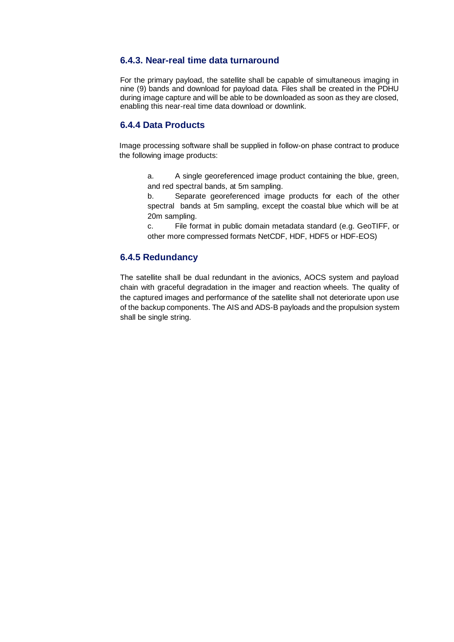### **6.4.3. Near-real time data turnaround**

For the primary payload, the satellite shall be capable of simultaneous imaging in nine (9) bands and download for payload data. Files shall be created in the PDHU during image capture and will be able to be downloaded as soon as they are closed, enabling this near-real time data download or downlink.

### **6.4.4 Data Products**

Image processing software shall be supplied in follow-on phase contract to produce the following image products:

a. A single georeferenced image product containing the blue, green, and red spectral bands, at 5m sampling.

b. Separate georeferenced image products for each of the other spectral bands at 5m sampling, except the coastal blue which will be at 20m sampling.

c. File format in public domain metadata standard (e.g. GeoTIFF, or other more compressed formats NetCDF, HDF, HDF5 or HDF-EOS)

### **6.4.5 Redundancy**

The satellite shall be dual redundant in the avionics, AOCS system and payload chain with graceful degradation in the imager and reaction wheels. The quality of the captured images and performance of the satellite shall not deteriorate upon use of the backup components. The AIS and ADS-B payloads and the propulsion system shall be single string.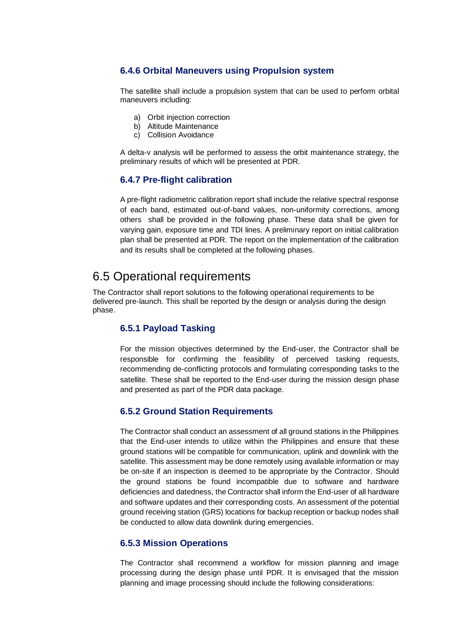### **6.4.6 Orbital Maneuvers using Propulsion system**

The satellite shall include a propulsion system that can be used to perform orbital maneuvers including:

- a) Orbit injection correction
- b) Altitude Maintenance
- c) Collision Avoidance

A delta-v analysis will be performed to assess the orbit maintenance strategy, the preliminary results of which will be presented at PDR.

#### **6.4.7 Pre-flight calibration**

A pre-flight radiometric calibration report shall include the relative spectral response of each band, estimated out-of-band values, non-uniformity corrections, among others shall be provided in the following phase. These data shall be given for varying gain, exposure time and TDI lines. A preliminary report on initial calibration plan shall be presented at PDR. The report on the implementation of the calibration and its results shall be completed at the following phases.

## 6.5 Operational requirements

The Contractor shall report solutions to the following operational requirements to be delivered pre-launch. This shall be reported by the design or analysis during the design phase.

### **6.5.1 Payload Tasking**

For the mission objectives determined by the End-user, the Contractor shall be responsible for confirming the feasibility of perceived tasking requests, recommending de-conflicting protocols and formulating corresponding tasks to the satellite. These shall be reported to the End-user during the mission design phase and presented as part of the PDR data package.

#### **6.5.2 Ground Station Requirements**

The Contractor shall conduct an assessment of all ground stations in the Philippines that the End-user intends to utilize within the Philippines and ensure that these ground stations will be compatible for communication, uplink and downlink with the satellite. This assessment may be done remotely using available information or may be on-site if an inspection is deemed to be appropriate by the Contractor. Should the ground stations be found incompatible due to software and hardware deficiencies and datedness, the Contractor shall inform the End-user of all hardware and software updates and their corresponding costs. An assessment of the potential ground receiving station (GRS) locations for backup reception or backup nodes shall be conducted to allow data downlink during emergencies.

#### **6.5.3 Mission Operations**

The Contractor shall recommend a workflow for mission planning and image processing during the design phase until PDR. It is envisaged that the mission planning and image processing should include the following considerations: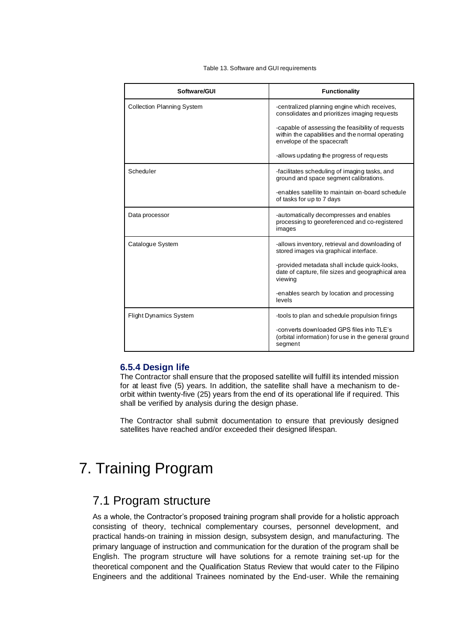Table 13. Software and GUI requirements

| Software/GUI                      | <b>Functionality</b>                                                                                                                |
|-----------------------------------|-------------------------------------------------------------------------------------------------------------------------------------|
| <b>Collection Planning System</b> | -centralized planning engine which receives,<br>consolidates and prioritizes imaging requests                                       |
|                                   | -capable of assessing the feasibility of requests<br>within the capabilities and the normal operating<br>envelope of the spacecraft |
|                                   | -allows updating the progress of requests                                                                                           |
| Scheduler                         | -facilitates scheduling of imaging tasks, and<br>ground and space segment calibrations.                                             |
|                                   | -enables satellite to maintain on-board schedule<br>of tasks for up to 7 days                                                       |
| Data processor                    | -automatically decompresses and enables<br>processing to georeferenced and co-registered<br>images                                  |
| Catalogue System                  | -allows inventory, retrieval and downloading of<br>stored images via graphical interface.                                           |
|                                   | -provided metadata shall include quick-looks,<br>date of capture, file sizes and geographical area<br>viewing                       |
|                                   | -enables search by location and processing<br>levels                                                                                |
| Flight Dynamics System            | -tools to plan and schedule propulsion firings                                                                                      |
|                                   | -converts downloaded GPS files into TLE's<br>(orbital information) for use in the general ground<br>segment                         |

#### **6.5.4 Design life**

The Contractor shall ensure that the proposed satellite will fulfill its intended mission for at least five (5) years. In addition, the satellite shall have a mechanism to deorbit within twenty-five (25) years from the end of its operational life if required. This shall be verified by analysis during the design phase.

The Contractor shall submit documentation to ensure that previously designed satellites have reached and/or exceeded their designed lifespan.

# 7. Training Program

## 7.1 Program structure

As a whole, the Contractor's proposed training program shall provide for a holistic approach consisting of theory, technical complementary courses, personnel development, and practical hands-on training in mission design, subsystem design, and manufacturing. The primary language of instruction and communication for the duration of the program shall be English. The program structure will have solutions for a remote training set-up for the theoretical component and the Qualification Status Review that would cater to the Filipino Engineers and the additional Trainees nominated by the End-user. While the remaining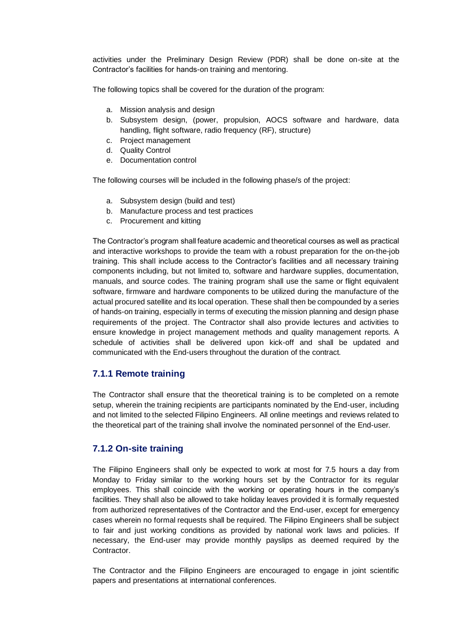activities under the Preliminary Design Review (PDR) shall be done on-site at the Contractor's facilities for hands-on training and mentoring.

The following topics shall be covered for the duration of the program:

- a. Mission analysis and design
- b. Subsystem design, (power, propulsion, AOCS software and hardware, data handling, flight software, radio frequency (RF), structure)
- c. Project management
- d. Quality Control
- e. Documentation control

The following courses will be included in the following phase/s of the project:

- a. Subsystem design (build and test)
- b. Manufacture process and test practices
- c. Procurement and kitting

The Contractor's program shall feature academic and theoretical courses as well as practical and interactive workshops to provide the team with a robust preparation for the on-the-job training. This shall include access to the Contractor's facilities and all necessary training components including, but not limited to, software and hardware supplies, documentation, manuals, and source codes. The training program shall use the same or flight equivalent software, firmware and hardware components to be utilized during the manufacture of the actual procured satellite and its local operation. These shall then be compounded by a series of hands-on training, especially in terms of executing the mission planning and design phase requirements of the project. The Contractor shall also provide lectures and activities to ensure knowledge in project management methods and quality management reports. A schedule of activities shall be delivered upon kick-off and shall be updated and communicated with the End-users throughout the duration of the contract.

### **7.1.1 Remote training**

The Contractor shall ensure that the theoretical training is to be completed on a remote setup, wherein the training recipients are participants nominated by the End-user, including and not limited to the selected Filipino Engineers. All online meetings and reviews related to the theoretical part of the training shall involve the nominated personnel of the End-user.

### **7.1.2 On-site training**

The Filipino Engineers shall only be expected to work at most for 7.5 hours a day from Monday to Friday similar to the working hours set by the Contractor for its regular employees. This shall coincide with the working or operating hours in the company's facilities. They shall also be allowed to take holiday leaves provided it is formally requested from authorized representatives of the Contractor and the End-user, except for emergency cases wherein no formal requests shall be required. The Filipino Engineers shall be subject to fair and just working conditions as provided by national work laws and policies. If necessary, the End-user may provide monthly payslips as deemed required by the Contractor.

The Contractor and the Filipino Engineers are encouraged to engage in joint scientific papers and presentations at international conferences.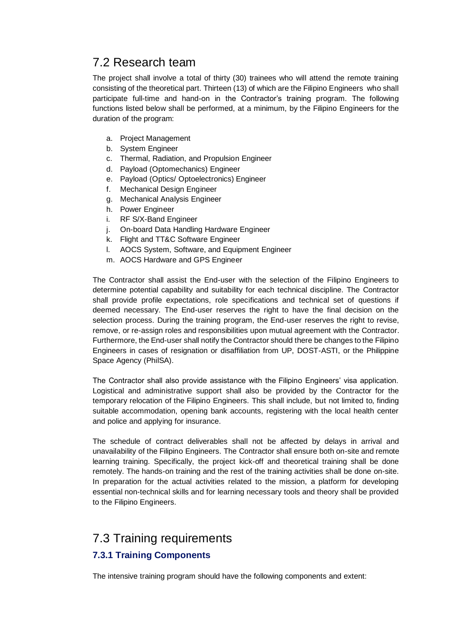# 7.2 Research team

The project shall involve a total of thirty (30) trainees who will attend the remote training consisting of the theoretical part. Thirteen (13) of which are the Filipino Engineers who shall participate full-time and hand-on in the Contractor's training program. The following functions listed below shall be performed, at a minimum, by the Filipino Engineers for the duration of the program:

- a. Project Management
- b. System Engineer
- c. Thermal, Radiation, and Propulsion Engineer
- d. Payload (Optomechanics) Engineer
- e. Payload (Optics/ Optoelectronics) Engineer
- f. Mechanical Design Engineer
- g. Mechanical Analysis Engineer
- h. Power Engineer
- i. RF S/X-Band Engineer
- j. On-board Data Handling Hardware Engineer
- k. Flight and TT&C Software Engineer
- l. AOCS System, Software, and Equipment Engineer
- m. AOCS Hardware and GPS Engineer

The Contractor shall assist the End-user with the selection of the Filipino Engineers to determine potential capability and suitability for each technical discipline. The Contractor shall provide profile expectations, role specifications and technical set of questions if deemed necessary. The End-user reserves the right to have the final decision on the selection process. During the training program, the End-user reserves the right to revise, remove, or re-assign roles and responsibilities upon mutual agreement with the Contractor. Furthermore, the End-user shall notify the Contractor should there be changes to the Filipino Engineers in cases of resignation or disaffiliation from UP, DOST-ASTI, or the Philippine Space Agency (PhilSA).

The Contractor shall also provide assistance with the Filipino Engineers' visa application. Logistical and administrative support shall also be provided by the Contractor for the temporary relocation of the Filipino Engineers. This shall include, but not limited to, finding suitable accommodation, opening bank accounts, registering with the local health center and police and applying for insurance.

The schedule of contract deliverables shall not be affected by delays in arrival and unavailability of the Filipino Engineers. The Contractor shall ensure both on-site and remote learning training. Specifically, the project kick-off and theoretical training shall be done remotely. The hands-on training and the rest of the training activities shall be done on-site. In preparation for the actual activities related to the mission, a platform for developing essential non-technical skills and for learning necessary tools and theory shall be provided to the Filipino Engineers.

# 7.3 Training requirements

## **7.3.1 Training Components**

The intensive training program should have the following components and extent: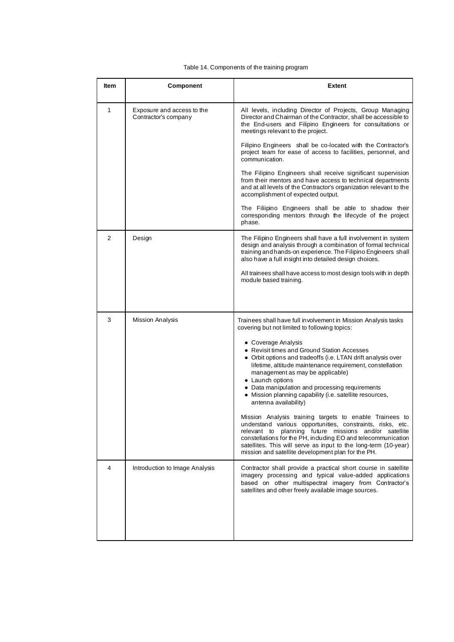#### Table 14. Components of the training program

| Item | Component                                          | <b>Extent</b>                                                                                                                                                                                                                                                                                                                                                                                   |
|------|----------------------------------------------------|-------------------------------------------------------------------------------------------------------------------------------------------------------------------------------------------------------------------------------------------------------------------------------------------------------------------------------------------------------------------------------------------------|
| 1    | Exposure and access to the<br>Contractor's company | All levels, including Director of Projects, Group Managing<br>Director and Chairman of the Contractor, shall be accessible to<br>the End-users and Filipino Engineers for consultations or<br>meetings relevant to the project.                                                                                                                                                                 |
|      |                                                    | Filipino Engineers shall be co-located with the Contractor's<br>project team for ease of access to facilities, personnel, and<br>communication.                                                                                                                                                                                                                                                 |
|      |                                                    | The Filipino Engineers shall receive significant supervision<br>from their mentors and have access to technical departments<br>and at all levels of the Contractor's organization relevant to the<br>accomplishment of expected output.                                                                                                                                                         |
|      |                                                    | The Filiipino Engineers shall be able to shadow their<br>corresponding mentors through the lifecycle of the project<br>phase.                                                                                                                                                                                                                                                                   |
| 2    | Design                                             | The Filipino Engineers shall have a full involvement in system<br>design and analysis through a combination of formal technical<br>training and hands-on experience. The Filipino Engineers shall<br>also have a full insight into detailed design choices.                                                                                                                                     |
|      |                                                    | All trainees shall have access to most design tools with in depth<br>module based training.                                                                                                                                                                                                                                                                                                     |
|      |                                                    |                                                                                                                                                                                                                                                                                                                                                                                                 |
| 3    | <b>Mission Analysis</b>                            | Trainees shall have full involvement in Mission Analysis tasks<br>covering but not limited to following topics:                                                                                                                                                                                                                                                                                 |
|      |                                                    | • Coverage Analysis<br>• Revisit times and Ground Station Accesses<br>• Orbit options and tradeoffs (i.e. LTAN drift analysis over<br>lifetime, altitude maintenance requirement, constellation<br>management as may be applicable)<br>• Launch options<br>• Data manipulation and processing requirements<br>• Mission planning capability (i.e. satellite resources,<br>antenna availability) |
|      |                                                    | Mission Analysis training targets to enable Trainees to<br>understand various opportunities, constraints, risks, etc.<br>relevant to planning future missions and/or satellite<br>constellations for the PH, including EO and telecommunication<br>satellites. This will serve as input to the long-term (10-year)<br>mission and satellite development plan for the PH.                        |
| 4    | Introduction to Image Analysis                     | Contractor shall provide a practical short course in satellite<br>imagery processing and typical value-added applications<br>based on other multispectral imagery from Contractor's<br>satellites and other freely available image sources.                                                                                                                                                     |
|      |                                                    |                                                                                                                                                                                                                                                                                                                                                                                                 |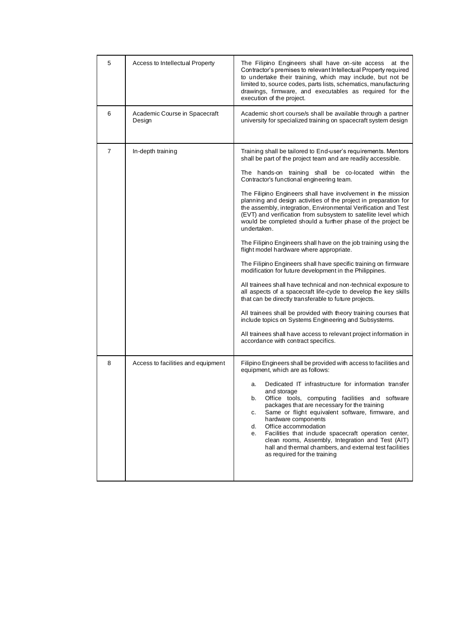| 5              | Access to Intellectual Property         | The Filipino Engineers shall have on-site access<br>at the<br>Contractor's premises to relevant Intellectual Property required<br>to undertake their training, which may include, but not be<br>limited to, source codes, parts lists, schematics, manufacturing<br>drawings, firmware, and executables as required for the<br>execution of the project.                                                                                                                                                                                                                                                                                                                                                                                                                                                                                                                                                                                                                                                                                                                                                                                                                                                                                                                         |
|----------------|-----------------------------------------|----------------------------------------------------------------------------------------------------------------------------------------------------------------------------------------------------------------------------------------------------------------------------------------------------------------------------------------------------------------------------------------------------------------------------------------------------------------------------------------------------------------------------------------------------------------------------------------------------------------------------------------------------------------------------------------------------------------------------------------------------------------------------------------------------------------------------------------------------------------------------------------------------------------------------------------------------------------------------------------------------------------------------------------------------------------------------------------------------------------------------------------------------------------------------------------------------------------------------------------------------------------------------------|
| 6              | Academic Course in Spacecraft<br>Design | Academic short course/s shall be available through a partner<br>university for specialized training on spacecraft system design                                                                                                                                                                                                                                                                                                                                                                                                                                                                                                                                                                                                                                                                                                                                                                                                                                                                                                                                                                                                                                                                                                                                                  |
| $\overline{7}$ | In-depth training                       | Training shall be tailored to End-user's requirements. Mentors<br>shall be part of the project team and are readily accessible.<br>The hands-on training shall be co-located within the<br>Contractor's functional engineering team.<br>The Filipino Engineers shall have involvement in the mission<br>planning and design activities of the project in preparation for<br>the assembly, integration, Environmental Verification and Test<br>(EVT) and verification from subsystem to satellite level which<br>would be completed should a further phase of the project be<br>undertaken.<br>The Filipino Engineers shall have on the job training using the<br>flight model hardware where appropriate.<br>The Filipino Engineers shall have specific training on firmware<br>modification for future development in the Philippines.<br>All trainees shall have technical and non-technical exposure to<br>all aspects of a spacecraft life-cycle to develop the key skills<br>that can be directly transferable to future projects.<br>All trainees shall be provided with theory training courses that<br>include topics on Systems Engineering and Subsystems.<br>All trainees shall have access to relevant project information in<br>accordance with contract specifics. |
| 8              | Access to facilities and equipment      | Filipino Engineers shall be provided with access to facilities and<br>equipment, which are as follows:<br>Dedicated IT infrastructure for information transfer<br>a.<br>and storage<br>b.<br>Office tools, computing facilities and software<br>packages that are necessary for the training<br>Same or flight equivalent software, firmware, and<br>C.<br>hardware components<br>Office accommodation<br>d.<br>Facilities that include spacecraft operation center,<br>е.<br>clean rooms, Assembly, Integration and Test (AIT)<br>hall and thermal chambers, and external test facilities<br>as required for the training                                                                                                                                                                                                                                                                                                                                                                                                                                                                                                                                                                                                                                                       |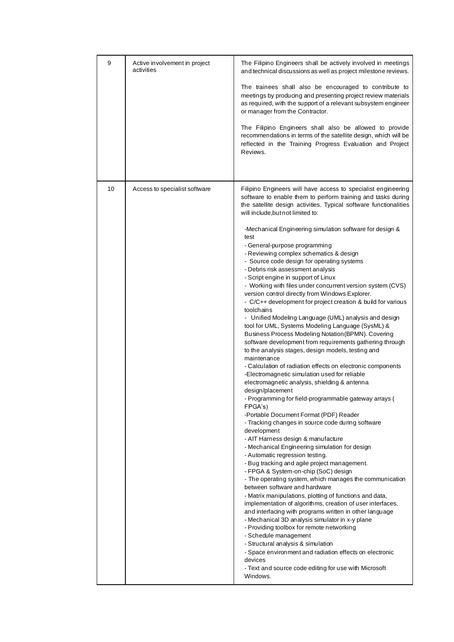| 9  | Active involvement in project<br>activities | The Filipino Engineers shall be actively involved in meetings<br>and technical discussions as well as project milestone reviews.<br>The trainees shall also be encouraged to contribute to<br>meetings by producing and presenting project review materials<br>as required, with the support of a relevant subsystem engineer<br>or manager from the Contractor.<br>The Filipino Engineers shall also be allowed to provide<br>recommendations in terms of the satellite design, which will be<br>reflected in the Training Progress Evaluation and Project<br>Reviews.                                                                                                                                                                                                                                                                                                                                                                                                                                                                                                                                                                                                                                                                                                                                                                                                                                                                                                                                                                                                                                                                                                                                                                                                                                                                                                                                                                                                                                                                                                                                                                                                                                    |
|----|---------------------------------------------|------------------------------------------------------------------------------------------------------------------------------------------------------------------------------------------------------------------------------------------------------------------------------------------------------------------------------------------------------------------------------------------------------------------------------------------------------------------------------------------------------------------------------------------------------------------------------------------------------------------------------------------------------------------------------------------------------------------------------------------------------------------------------------------------------------------------------------------------------------------------------------------------------------------------------------------------------------------------------------------------------------------------------------------------------------------------------------------------------------------------------------------------------------------------------------------------------------------------------------------------------------------------------------------------------------------------------------------------------------------------------------------------------------------------------------------------------------------------------------------------------------------------------------------------------------------------------------------------------------------------------------------------------------------------------------------------------------------------------------------------------------------------------------------------------------------------------------------------------------------------------------------------------------------------------------------------------------------------------------------------------------------------------------------------------------------------------------------------------------------------------------------------------------------------------------------------------------|
| 10 | Access to specialist software               | Filipino Engineers will have access to specialist engineering<br>software to enable them to perform training and tasks during<br>the satellite design activities. Typical software functionalities<br>will include, but not limited to:<br>-Mechanical Engineering simulation software for design &<br>test<br>- General-purpose programming<br>- Reviewing complex schematics & design<br>- Source code design for operating systems<br>- Debris risk assessment analysis<br>- Script engine in support of Linux<br>- Working with files under concurrent version system (CVS)<br>version control directly from Windows Explorer.<br>- C/C++ development for project creation & build for various<br>toolchains<br>- Unified Modeling Language (UML) analysis and design<br>tool for UML, Systems Modeling Language (SysML) &<br>Business Process Modeling Notation (BPMN). Covering<br>software development from requirements gathering through<br>to the analysis stages, design models, testing and<br>maintenance<br>- Calculation of radiation effects on electronic components<br>-Electromagnetic simulation used for reliable<br>electromagnetic analysis, shielding & antenna<br>design/placement<br>- Programming for field-programmable gateway arrays (<br>FPGA's)<br>-Portable Document Format (PDF) Reader<br>- Tracking changes in source code during software<br>development<br>- AIT Harness design & manufacture<br>- Mechanical Engineering simulation for design<br>- Automatic regression testing.<br>- Bug tracking and agile project management.<br>- FPGA & System-on-chip (SoC) design<br>- The operating system, which manages the communication<br>between software and hardware<br>- Matrix manipulations, plotting of functions and data,<br>implementation of algorithms, creation of user interfaces,<br>and interfacing with programs written in other language<br>- Mechanical 3D analysis simulator in x-y plane<br>- Providing toolbox for remote networking<br>- Schedule management<br>- Structural analysis & simulation<br>- Space environment and radiation effects on electronic<br>devices<br>- Text and source code editing for use with Microsoft<br>Windows. |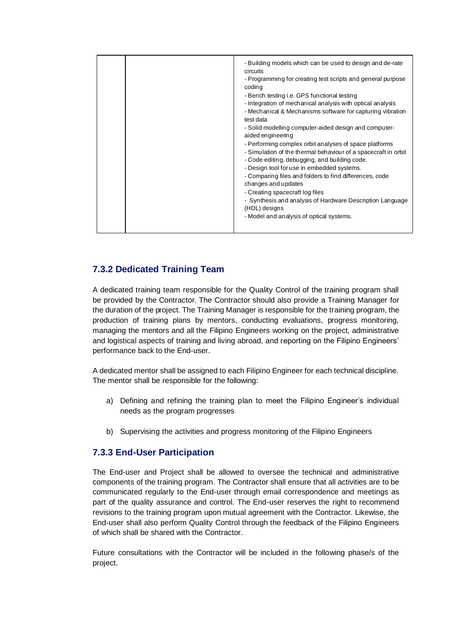|  | - Building models which can be used to design and de-rate<br>circuits<br>- Programming for creating test scripts and general purpose<br>coding<br>- Bench testing i.e. GPS functional testing<br>- Integration of mechanical analysis with optical analysis<br>- Mechanical & Mechanisms software for capturing vibration<br>test data<br>- Solid modelling computer-aided design and computer-<br>aided engineering<br>- Performing complex orbit analyses of space platforms<br>- Simulation of the thermal behaviour of a spacecraft in orbit<br>- Code editing, debugging, and building code.<br>- Design tool for use in embedded systems.<br>- Comparing files and folders to find differences, code<br>changes and updates<br>- Creating spacecraft log files<br>- Synthesis and analysis of Hardware Description Language<br>(HDL) designs<br>- Model and analysis of optical systems. |
|--|------------------------------------------------------------------------------------------------------------------------------------------------------------------------------------------------------------------------------------------------------------------------------------------------------------------------------------------------------------------------------------------------------------------------------------------------------------------------------------------------------------------------------------------------------------------------------------------------------------------------------------------------------------------------------------------------------------------------------------------------------------------------------------------------------------------------------------------------------------------------------------------------|
|--|------------------------------------------------------------------------------------------------------------------------------------------------------------------------------------------------------------------------------------------------------------------------------------------------------------------------------------------------------------------------------------------------------------------------------------------------------------------------------------------------------------------------------------------------------------------------------------------------------------------------------------------------------------------------------------------------------------------------------------------------------------------------------------------------------------------------------------------------------------------------------------------------|

## **7.3.2 Dedicated Training Team**

A dedicated training team responsible for the Quality Control of the training program shall be provided by the Contractor. The Contractor should also provide a Training Manager for the duration of the project. The Training Manager is responsible for the training program, the production of training plans by mentors, conducting evaluations, progress monitoring, managing the mentors and all the Filipino Engineers working on the project, administrative and logistical aspects of training and living abroad, and reporting on the Filipino Engineers' performance back to the End-user.

A dedicated mentor shall be assigned to each Filipino Engineer for each technical discipline. The mentor shall be responsible for the following:

- a) Defining and refining the training plan to meet the Filipino Engineer's individual needs as the program progresses
- b) Supervising the activities and progress monitoring of the Filipino Engineers

## **7.3.3 End-User Participation**

The End-user and Project shall be allowed to oversee the technical and administrative components of the training program. The Contractor shall ensure that all activities are to be communicated regularly to the End-user through email correspondence and meetings as part of the quality assurance and control. The End-user reserves the right to recommend revisions to the training program upon mutual agreement with the Contractor. Likewise, the End-user shall also perform Quality Control through the feedback of the Filipino Engineers of which shall be shared with the Contractor.

Future consultations with the Contractor will be included in the following phase/s of the project.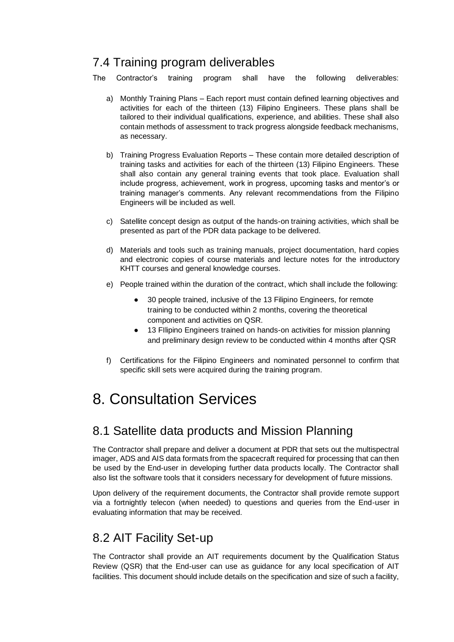# 7.4 Training program deliverables

The Contractor's training program shall have the following deliverables:

- a) Monthly Training Plans Each report must contain defined learning objectives and activities for each of the thirteen (13) Filipino Engineers. These plans shall be tailored to their individual qualifications, experience, and abilities. These shall also contain methods of assessment to track progress alongside feedback mechanisms, as necessary.
- b) Training Progress Evaluation Reports These contain more detailed description of training tasks and activities for each of the thirteen (13) Filipino Engineers. These shall also contain any general training events that took place. Evaluation shall include progress, achievement, work in progress, upcoming tasks and mentor's or training manager's comments. Any relevant recommendations from the Filipino Engineers will be included as well.
- c) Satellite concept design as output of the hands-on training activities, which shall be presented as part of the PDR data package to be delivered.
- d) Materials and tools such as training manuals, project documentation, hard copies and electronic copies of course materials and lecture notes for the introductory KHTT courses and general knowledge courses.
- e) People trained within the duration of the contract, which shall include the following:
	- 30 people trained, inclusive of the 13 Filipino Engineers, for remote training to be conducted within 2 months, covering the theoretical component and activities on QSR.
	- 13 FIlipino Engineers trained on hands-on activities for mission planning and preliminary design review to be conducted within 4 months after QSR
- f) Certifications for the Filipino Engineers and nominated personnel to confirm that specific skill sets were acquired during the training program.

# 8. Consultation Services

# 8.1 Satellite data products and Mission Planning

The Contractor shall prepare and deliver a document at PDR that sets out the multispectral imager, ADS and AIS data formats from the spacecraft required for processing that can then be used by the End-user in developing further data products locally. The Contractor shall also list the software tools that it considers necessary for development of future missions.

Upon delivery of the requirement documents, the Contractor shall provide remote support via a fortnightly telecon (when needed) to questions and queries from the End-user in evaluating information that may be received.

# 8.2 AIT Facility Set-up

The Contractor shall provide an AIT requirements document by the Qualification Status Review (QSR) that the End-user can use as guidance for any local specification of AIT facilities. This document should include details on the specification and size of such a facility,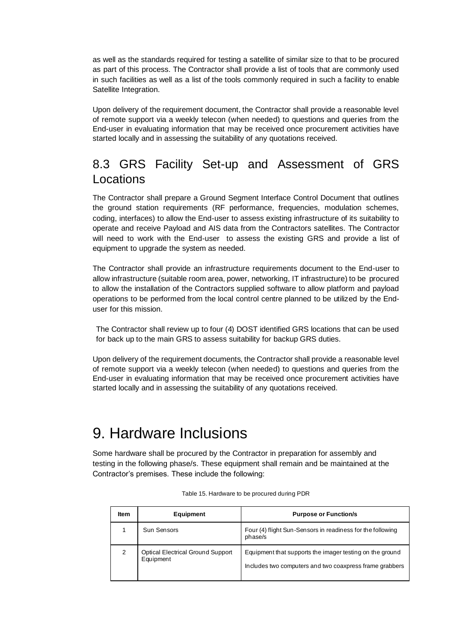as well as the standards required for testing a satellite of similar size to that to be procured as part of this process. The Contractor shall provide a list of tools that are commonly used in such facilities as well as a list of the tools commonly required in such a facility to enable Satellite Integration.

Upon delivery of the requirement document, the Contractor shall provide a reasonable level of remote support via a weekly telecon (when needed) to questions and queries from the End-user in evaluating information that may be received once procurement activities have started locally and in assessing the suitability of any quotations received.

# 8.3 GRS Facility Set-up and Assessment of GRS Locations

The Contractor shall prepare a Ground Segment Interface Control Document that outlines the ground station requirements (RF performance, frequencies, modulation schemes, coding, interfaces) to allow the End-user to assess existing infrastructure of its suitability to operate and receive Payload and AIS data from the Contractors satellites. The Contractor will need to work with the End-user to assess the existing GRS and provide a list of equipment to upgrade the system as needed.

The Contractor shall provide an infrastructure requirements document to the End-user to allow infrastructure (suitable room area, power, networking, IT infrastructure) to be procured to allow the installation of the Contractors supplied software to allow platform and payload operations to be performed from the local control centre planned to be utilized by the Enduser for this mission.

The Contractor shall review up to four (4) DOST identified GRS locations that can be used for back up to the main GRS to assess suitability for backup GRS duties.

Upon delivery of the requirement documents, the Contractor shall provide a reasonable level of remote support via a weekly telecon (when needed) to questions and queries from the End-user in evaluating information that may be received once procurement activities have started locally and in assessing the suitability of any quotations received.

# 9. Hardware Inclusions

Some hardware shall be procured by the Contractor in preparation for assembly and testing in the following phase/s. These equipment shall remain and be maintained at the Contractor's premises. These include the following:

| ltem | <b>Equipment</b>                                      | <b>Purpose or Function/s</b>                                                                                        |
|------|-------------------------------------------------------|---------------------------------------------------------------------------------------------------------------------|
|      | Sun Sensors                                           | Four (4) flight Sun-Sensors in readiness for the following<br>phase/s                                               |
| 2    | <b>Optical Electrical Ground Support</b><br>Equipment | Equipment that supports the imager testing on the ground<br>Includes two computers and two coaxpress frame grabbers |

Table 15. Hardware to be procured during PDR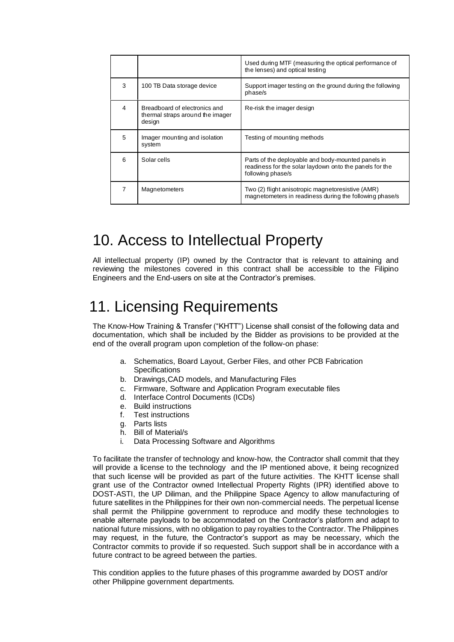|                |                                                                             | Used during MTF (measuring the optical performance of<br>the lenses) and optical testing                                           |
|----------------|-----------------------------------------------------------------------------|------------------------------------------------------------------------------------------------------------------------------------|
| 3              | 100 TB Data storage device                                                  | Support imager testing on the ground during the following<br>phase/s                                                               |
| $\overline{4}$ | Breadboard of electronics and<br>thermal straps around the imager<br>design | Re-risk the imager design                                                                                                          |
| 5              | Imager mounting and isolation<br>system                                     | Testing of mounting methods                                                                                                        |
| 6              | Solar cells                                                                 | Parts of the deployable and body-mounted panels in<br>readiness for the solar laydown onto the panels for the<br>following phase/s |
|                | <b>Magnetometers</b>                                                        | Two (2) flight anisotropic magnetoresistive (AMR)<br>magnetometers in readiness during the following phase/s                       |

# 10. Access to Intellectual Property

All intellectual property (IP) owned by the Contractor that is relevant to attaining and reviewing the milestones covered in this contract shall be accessible to the Filipino Engineers and the End-users on site at the Contractor's premises.

# 11. Licensing Requirements

The Know-How Training & Transfer ("KHTT") License shall consist of the following data and documentation, which shall be included by the Bidder as provisions to be provided at the end of the overall program upon completion of the follow-on phase:

- a. Schematics, Board Layout, Gerber Files, and other PCB Fabrication **Specifications**
- b. Drawings,CAD models, and Manufacturing Files
- c. Firmware, Software and Application Program executable files
- d. Interface Control Documents (ICDs)
- e. Build instructions
- f. Test instructions
- g. Parts lists
- h. Bill of Material/s
- i. Data Processing Software and Algorithms

To facilitate the transfer of technology and know-how, the Contractor shall commit that they will provide a license to the technology and the IP mentioned above, it being recognized that such license will be provided as part of the future activities. The KHTT license shall grant use of the Contractor owned Intellectual Property Rights (IPR) identified above to DOST-ASTI, the UP Diliman, and the Philippine Space Agency to allow manufacturing of future satellites in the Philippines for their own non-commercial needs. The perpetual license shall permit the Philippine government to reproduce and modify these technologies to enable alternate payloads to be accommodated on the Contractor's platform and adapt to national future missions, with no obligation to pay royalties to the Contractor. The Philippines may request, in the future, the Contractor's support as may be necessary, which the Contractor commits to provide if so requested. Such support shall be in accordance with a future contract to be agreed between the parties.

This condition applies to the future phases of this programme awarded by DOST and/or other Philippine government departments.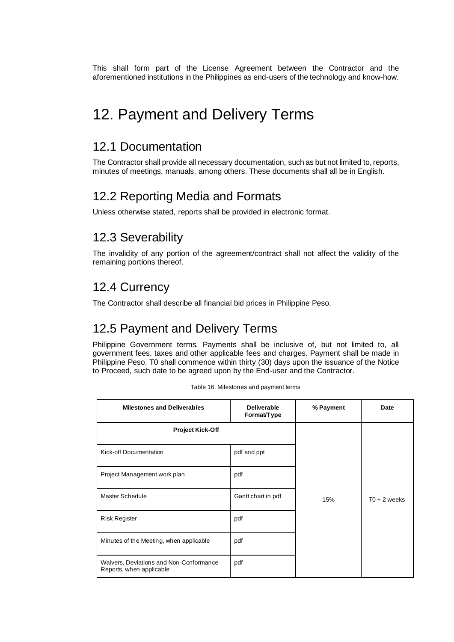This shall form part of the License Agreement between the Contractor and the aforementioned institutions in the Philippines as end-users of the technology and know-how.

# 12. Payment and Delivery Terms

## 12.1 Documentation

The Contractor shall provide all necessary documentation, such as but not limited to, reports, minutes of meetings, manuals, among others. These documents shall all be in English.

# 12.2 Reporting Media and Formats

Unless otherwise stated, reports shall be provided in electronic format.

## 12.3 Severability

The invalidity of any portion of the agreement/contract shall not affect the validity of the remaining portions thereof.

## 12.4 Currency

The Contractor shall describe all financial bid prices in Philippine Peso.

# 12.5 Payment and Delivery Terms

Philippine Government terms. Payments shall be inclusive of, but not limited to, all government fees, taxes and other applicable fees and charges. Payment shall be made in Philippine Peso. T0 shall commence within thirty (30) days upon the issuance of the Notice to Proceed, such date to be agreed upon by the End-user and the Contractor.

| <b>Milestones and Deliverables</b><br><b>Deliverable</b><br>Format/Type |                    | % Payment | Date           |  |
|-------------------------------------------------------------------------|--------------------|-----------|----------------|--|
| <b>Project Kick-Off</b>                                                 |                    |           |                |  |
| Kick-off Documentation                                                  | pdf and ppt        |           |                |  |
| Project Management work plan                                            | pdf                |           |                |  |
| Master Schedule                                                         | Gantt chart in pdf | 15%       | $T0 + 2$ weeks |  |
| <b>Risk Register</b>                                                    | pdf                |           |                |  |
| Minutes of the Meeting, when applicable                                 | pdf                |           |                |  |
| Waivers, Deviations and Non-Conformance<br>Reports, when applicable     | pdf                |           |                |  |

Table 16. Milestones and payment terms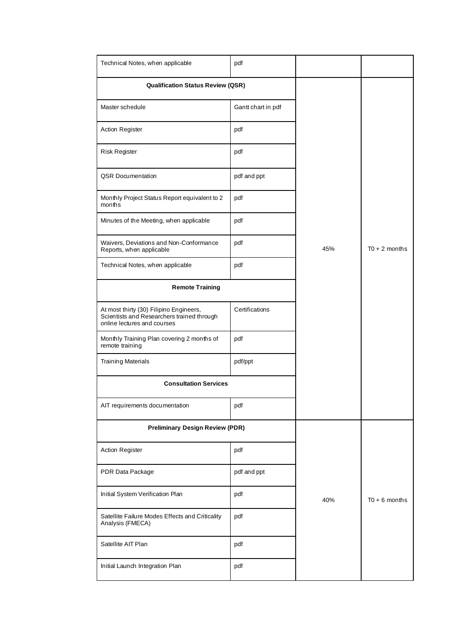| Technical Notes, when applicable                                                                                     | pdf                |     |                 |
|----------------------------------------------------------------------------------------------------------------------|--------------------|-----|-----------------|
| <b>Qualification Status Review (QSR)</b>                                                                             |                    |     |                 |
| Master schedule                                                                                                      | Gantt chart in pdf |     |                 |
| Action Register                                                                                                      | pdf                |     |                 |
| <b>Risk Register</b>                                                                                                 | pdf                |     |                 |
| <b>QSR Documentation</b>                                                                                             | pdf and ppt        |     |                 |
| Monthly Project Status Report equivalent to 2<br>months                                                              | pdf                |     |                 |
| Minutes of the Meeting, when applicable                                                                              | pdf                |     |                 |
| Waivers, Deviations and Non-Conformance<br>Reports, when applicable                                                  | pdf                | 45% | $T0 + 2$ months |
| Technical Notes, when applicable                                                                                     | pdf                |     |                 |
| <b>Remote Training</b>                                                                                               |                    |     |                 |
| At most thirty (30) Filipino Engineers,<br>Scientists and Researchers trained through<br>online lectures and courses | Certifications     |     |                 |
| Monthly Training Plan covering 2 months of<br>remote training                                                        | pdf                |     |                 |
| <b>Training Materials</b>                                                                                            | pdf/ppt            |     |                 |
| <b>Consultation Services</b>                                                                                         |                    |     |                 |
| AIT requirements documentation                                                                                       | pdf                |     |                 |
| <b>Preliminary Design Review (PDR)</b>                                                                               |                    |     |                 |
| <b>Action Register</b>                                                                                               | pdf                |     |                 |
| PDR Data Package                                                                                                     | pdf and ppt        |     |                 |
| Initial System Verification Plan                                                                                     | pdf                | 40% | $T0 + 6$ months |
| Satellite Failure Modes Effects and Criticality<br>Analysis (FMECA)                                                  | pdf                |     |                 |
| Satellite AIT Plan                                                                                                   | pdf                |     |                 |
| Initial Launch Integration Plan                                                                                      | pdf                |     |                 |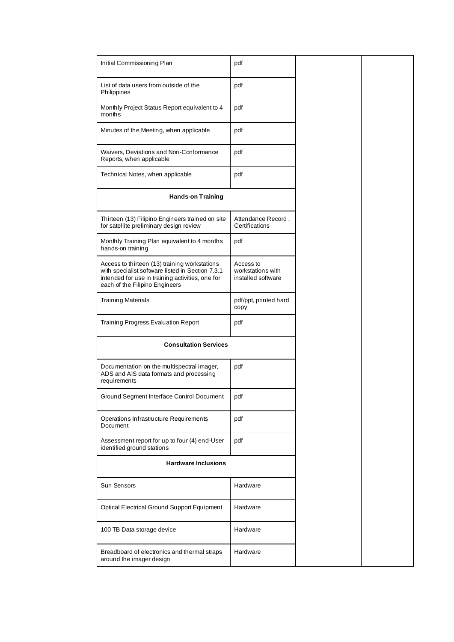| Initial Commissioning Plan                                                                                                                                                              | pdf                                                  |  |
|-----------------------------------------------------------------------------------------------------------------------------------------------------------------------------------------|------------------------------------------------------|--|
| List of data users from outside of the<br>Philippines                                                                                                                                   | pdf                                                  |  |
| Monthly Project Status Report equivalent to 4<br>months                                                                                                                                 | pdf                                                  |  |
| Minutes of the Meeting, when applicable                                                                                                                                                 | pdf                                                  |  |
| Waivers, Deviations and Non-Conformance<br>Reports, when applicable                                                                                                                     | pdf                                                  |  |
| Technical Notes, when applicable                                                                                                                                                        | pdf                                                  |  |
| <b>Hands-on Training</b>                                                                                                                                                                |                                                      |  |
| Thirteen (13) Filipino Engineers trained on site<br>for satellite preliminary design review                                                                                             | Attendance Record,<br>Certifications                 |  |
| Monthly Training Plan equivalent to 4 months<br>hands-on training                                                                                                                       | pdf                                                  |  |
| Access to thirteen (13) training workstations<br>with specialist software listed in Section 7.3.1<br>intended for use in training activities, one for<br>each of the Filipino Engineers | Access to<br>workstations with<br>installed software |  |
| <b>Training Materials</b>                                                                                                                                                               | pdf/ppt, printed hard<br>copy                        |  |
| Training Progress Evaluation Report                                                                                                                                                     | pdf                                                  |  |
| <b>Consultation Services</b>                                                                                                                                                            |                                                      |  |
| Documentation on the multispectral imager,<br>ADS and AIS data formats and processing<br>requirements                                                                                   | pdf                                                  |  |
| Ground Segment Interface Control Document                                                                                                                                               | pdf                                                  |  |
| Operations Infrastructure Requirements<br>Document                                                                                                                                      | pdf                                                  |  |
| Assessment report for up to four (4) end-User<br>identified ground stations                                                                                                             | pdf                                                  |  |
| <b>Hardware Inclusions</b>                                                                                                                                                              |                                                      |  |
| Sun Sensors                                                                                                                                                                             | Hardware                                             |  |
| Optical Electrical Ground Support Equipment                                                                                                                                             | Hardware                                             |  |
| 100 TB Data storage device                                                                                                                                                              | Hardware                                             |  |
| Breadboard of electronics and thermal straps<br>around the imager design                                                                                                                | Hardware                                             |  |
|                                                                                                                                                                                         |                                                      |  |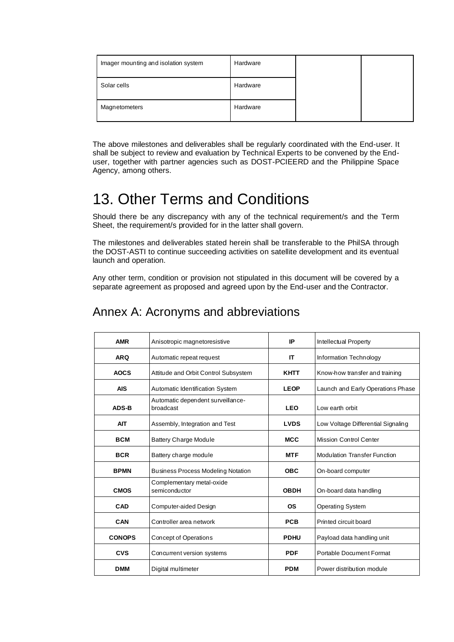| Imager mounting and isolation system | Hardware |  |
|--------------------------------------|----------|--|
| Solar cells                          | Hardware |  |
| Magnetometers                        | Hardware |  |

The above milestones and deliverables shall be regularly coordinated with the End-user. It shall be subject to review and evaluation by Technical Experts to be convened by the Enduser, together with partner agencies such as DOST-PCIEERD and the Philippine Space Agency, among others.

# 13. Other Terms and Conditions

Should there be any discrepancy with any of the technical requirement/s and the Term Sheet, the requirement/s provided for in the latter shall govern.

The milestones and deliverables stated herein shall be transferable to the PhilSA through the DOST-ASTI to continue succeeding activities on satellite development and its eventual launch and operation.

Any other term, condition or provision not stipulated in this document will be covered by a separate agreement as proposed and agreed upon by the End-user and the Contractor.

| <b>AMR</b>    | Anisotropic magnetoresistive                   | IP<br>Intellectual Property |                                     |  |
|---------------|------------------------------------------------|-----------------------------|-------------------------------------|--|
| <b>ARQ</b>    | Automatic repeat request                       | IT                          | Information Technology              |  |
| <b>AOCS</b>   | Attitude and Orbit Control Subsystem           | <b>KHTT</b>                 | Know-how transfer and training      |  |
| <b>AIS</b>    | Automatic Identification System                | <b>LEOP</b>                 | Launch and Early Operations Phase   |  |
| <b>ADS-B</b>  | Automatic dependent surveillance-<br>broadcast | <b>LEO</b>                  | Low earth orbit                     |  |
| <b>AIT</b>    | Assembly, Integration and Test                 | <b>LVDS</b>                 | Low Voltage Differential Signaling  |  |
| <b>BCM</b>    | <b>Battery Charge Module</b>                   | <b>MCC</b>                  | Mission Control Center              |  |
| <b>BCR</b>    | Battery charge module                          | <b>MTF</b>                  | <b>Modulation Transfer Function</b> |  |
| <b>BPMN</b>   | <b>Business Process Modeling Notation</b>      | <b>OBC</b>                  | On-board computer                   |  |
| <b>CMOS</b>   | Complementary metal-oxide<br>semiconductor     | <b>OBDH</b>                 | On-board data handling              |  |
| CAD           | Computer-aided Design                          | <b>OS</b>                   | Operating System                    |  |
| CAN           | Controller area network                        | <b>PCB</b>                  | Printed circuit board               |  |
| <b>CONOPS</b> | <b>Concept of Operations</b>                   | <b>PDHU</b>                 | Payload data handling unit          |  |
| <b>CVS</b>    | Concurrent version systems                     | <b>PDF</b>                  | Portable Document Format            |  |
| <b>DMM</b>    | Digital multimeter                             | <b>PDM</b>                  | Power distribution module           |  |

## Annex A: Acronyms and abbreviations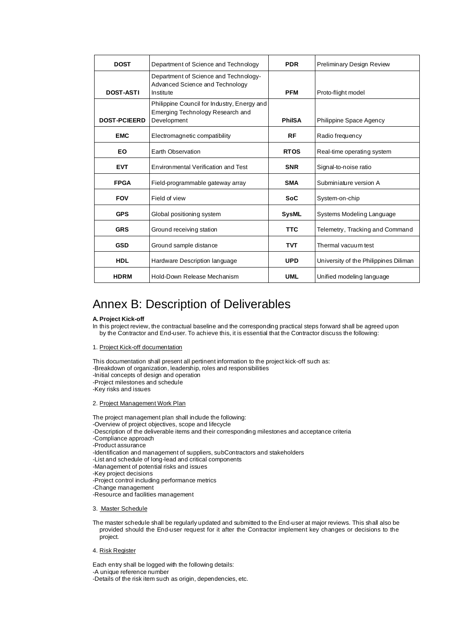| <b>DOST</b>         | Department of Science and Technology                                                           | <b>PDR</b>    | <b>Preliminary Design Review</b>      |
|---------------------|------------------------------------------------------------------------------------------------|---------------|---------------------------------------|
| <b>DOST-ASTI</b>    | Department of Science and Technology-<br>Advanced Science and Technology<br>Institute          | <b>PFM</b>    | Proto-flight model                    |
| <b>DOST-PCIEERD</b> | Philippine Council for Industry, Energy and<br>Emerging Technology Research and<br>Development | <b>PhilSA</b> | Philippine Space Agency               |
| <b>EMC</b>          | Electromagnetic compatibility                                                                  | RF            | Radio frequency                       |
| EO                  | Earth Observation                                                                              | <b>RTOS</b>   | Real-time operating system            |
| <b>EVT</b>          | Environmental Verification and Test                                                            | <b>SNR</b>    | Signal-to-noise ratio                 |
| <b>FPGA</b>         | Field-programmable gateway array                                                               | <b>SMA</b>    | Subminiature version A                |
| <b>FOV</b>          | Field of view                                                                                  | <b>SoC</b>    | System-on-chip                        |
| <b>GPS</b>          | Global positioning system                                                                      | <b>SysML</b>  | Systems Modeling Language             |
| <b>GRS</b>          | Ground receiving station                                                                       | <b>TTC</b>    | Telemetry, Tracking and Command       |
| <b>GSD</b>          | Ground sample distance                                                                         | <b>TVT</b>    | Thermal vacuum test                   |
| HDL                 | Hardware Description language                                                                  | <b>UPD</b>    | University of the Philippines Diliman |
| <b>HDRM</b>         | Hold-Down Release Mechanism                                                                    | <b>UML</b>    | Unified modeling language             |

## Annex B: Description of Deliverables

#### **A.Project Kick-off**

In this project review, the contractual baseline and the corresponding practical steps forward shall be agreed upon by the Contractor and End-user. To achieve this, it is essential that the Contractor discuss the following:

1. Project Kick-off documentation

This documentation shall present all pertinent information to the project kick-off such as: -Breakdown of organization, leadership, roles and responsibilities -Initial concepts of design and operation -Project milestones and schedule -Key risks and issues

2. Project Management Work Plan

The project management plan shall include the following: -Overview of project objectives, scope and lifecycle -Description of the deliverable items and their corresponding milestones and acceptance criteria -Compliance approach -Product assurance -Identification and management of suppliers, subContractors and stakeholders -List and schedule of long-lead and critical components -Management of potential risks and issues -Key project decisions -Project control including performance metrics -Change management -Resource and facilities management

#### 3. Master Schedule

The master schedule shall be regularly updated and submitted to the End-user at major reviews. This shall also be provided should the End-user request for it after the Contractor implement key changes or decisions to the project.

#### 4. Risk Register

Each entry shall be logged with the following details: -A unique reference number -Details of the risk item such as origin, dependencies, etc.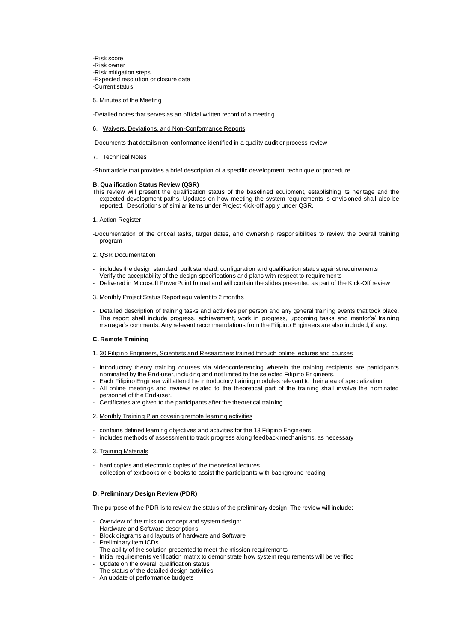-Risk score -Risk owner -Risk mitigation steps -Expected resolution or closure date -Current status

#### 5. Minutes of the Meeting

-Detailed notes that serves as an official written record of a meeting

#### 6. Waivers, Deviations, and Non-Conformance Reports

-Documents that details non-conformance identified in a quality audit or process review

#### 7. Technical Notes

-Short article that provides a brief description of a specific development, technique or procedure

#### **B. Qualification Status Review (QSR)**

- This review will present the qualification status of the baselined equipment, establishing its heritage and the expected development paths. Updates on how meeting the system requirements is envisioned shall also be reported. Descriptions of similar items under Project Kick-off apply under QSR.
- 1. Action Register
- -Documentation of the critical tasks, target dates, and ownership responsibilities to review the overall training program

#### 2. QSR Documentation

- includes the design standard, built standard, configuration and qualification status against requirements
- Verify the acceptability of the design specifications and plans with respect to requirements
- Delivered in Microsoft PowerPoint format and will contain the slides presented as part of the Kick-Off review

#### 3. Monthly Project Status Report equivalent to 2 months

- Detailed description of training tasks and activities per person and any general training events that took place. The report shall include progress, achievement, work in progress, upcoming tasks and mentor's/ training manager's comments. Any relevant recommendations from the Filipino Engineers are also included, if any.

#### **C. Remote Training**

- 1. 30 Filipino Engineers, Scientists and Researchers trained through online lectures and courses
- Introductory theory training courses via videoconferencing wherein the training recipients are participants nominated by the End-user, including and not limited to the selected Filipino Engineers.
- Each Filipino Engineer will attend the introductory training modules relevant to their area of specialization
- All online meetings and reviews related to the theoretical part of the training shall involve the nominated personnel of the End-user.
- Certificates are given to the participants after the theoretical training
- 2. Monthly Training Plan covering remote learning activities
- contains defined learning objectives and activities for the 13 Filipino Engineers
- includes methods of assessment to track progress along feedback mechanisms, as necessary
- 3. Training Materials
- hard copies and electronic copies of the theoretical lectures
- collection of textbooks or e-books to assist the participants with background reading

#### **D. Preliminary Design Review (PDR)**

The purpose of the PDR is to review the status of the preliminary design. The review will include:

- Overview of the mission concept and system design:
- Hardware and Software descriptions
- Block diagrams and layouts of hardware and Software
- Preliminary item ICDs.
- The ability of the solution presented to meet the mission requirements
- Initial requirements verification matrix to demonstrate how system requirements will be verified
- Update on the overall qualification status
- The status of the detailed design activities
- An update of performance budgets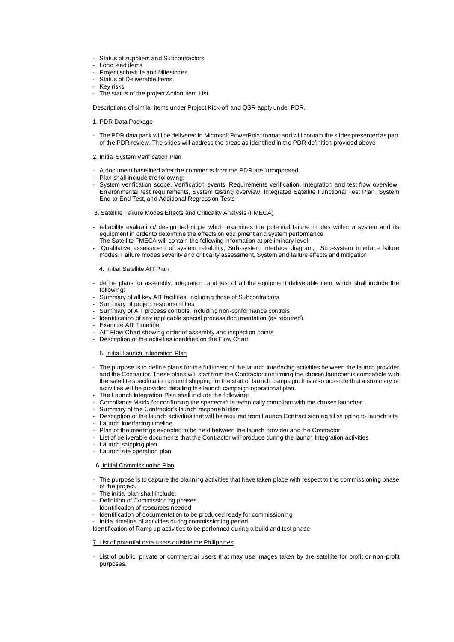- Status of suppliers and Subcontractors
- Long lead items
- Project schedule and Milestones
- Status of Deliverable Items
- Key risks
- The status of the project Action Item List

Descriptions of similar items under Project Kick-off and QSR apply under PDR.

- 1. PDR Data Package
- The PDR data pack will be delivered in Microsoft PowerPoint format and will contain the slides presented as part of the PDR review. The slides will address the areas as identified in the PDR definition provided above
- 2. Initial System Verification Plan
- A document baselined after the comments from the PDR are incorporated
- Plan shall include the following:
- System verification scope, Verification events, Requirements verification, Integration and test flow overview, Environmental test requirements, System testing overview, Integrated Satellite Functional Test Plan, System End-to-End Test, and Additional Regression Tests
- 3. Satellite Failure Modes Effects and Criticality Analysis (FMECA)
- reliability evaluation/ design technique which examines the potential failure modes within a system and its equipment in order to determine the effects on equipment and system performance
- The Satellite FMECA will contain the following information at preliminary level:
- Qualitative assessment of system reliability, Sub-system interface diagram, Sub-system interface failure modes, Failure modes severity and criticality assessment, System end failure effects and mitigation

#### 4. Initial Satellite AIT Plan

- define plans for assembly, integration, and test of all the equipment deliverable item, which shall include the following:
- Summary of all key AIT facilities, including those of Subcontractors
- Summary of project responsibilities
- Summary of AIT process controls, including non-conformance controls
- Identification of any applicable special process documentation (as required)
- Example AIT Timeline
- AIT Flow Chart showing order of assembly and inspection points
- Description of the activities identified on the Flow Chart

#### 5. Initial Launch Integration Plan

- The purpose is to define plans for the fulfilment of the launch interfacing activities between the launch provider and the Contractor. These plans will start from the Contractor confirming the chosen launcher is compatible with the satellite specification up until shipping for the start of launch campaign. It is also possible that a summary of activities will be provided detailing the launch campaign operational plan.
- The Launch Integration Plan shall include the following:
- Compliance Matrix for confirming the spacecraft is technically compliant with the chosen launcher
- Summary of the Contractor's launch responsibilities
- Description of the launch activities that will be required from Launch Contract signing till shipping to launch site
- Launch Interfacing timeline
- Plan of the meetings expected to be held between the launch provider and the Contractor
- List of deliverable documents that the Contractor will produce during the launch Integration activities
- Launch shipping plan
- Launch site operation plan

#### 6. Initial Commissioning Plan

- The purpose is to capture the planning activities that have taken place with respect to the commissioning phase of the project.
- The initial plan shall include:
- Definition of Commissioning phases
- Identification of resources needed
- Identification of documentation to be produced ready for commissioning
- Initial timeline of activities during commissioning period

Identification of Ramp up activities to be performed during a build and test phase

#### 7. List of potential data users outside the Philippines

List of public, private or commercial users that may use images taken by the satellite for profit or non-profit purposes.